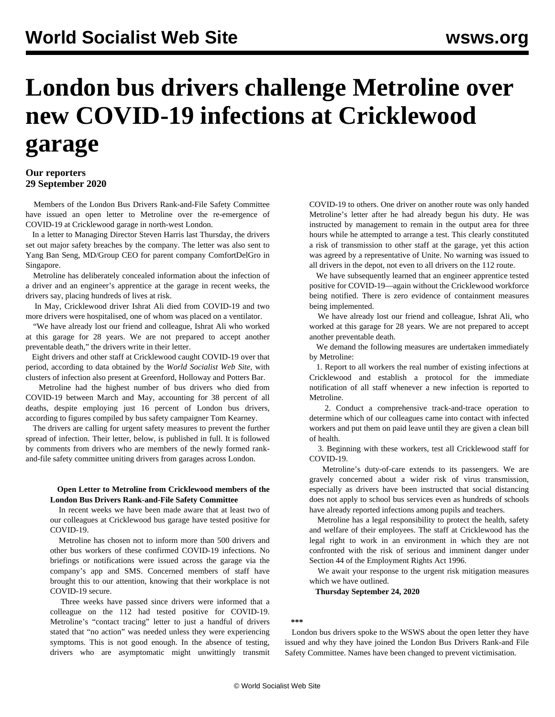# **London bus drivers challenge Metroline over new COVID-19 infections at Cricklewood garage**

### **Our reporters 29 September 2020**

 Members of the London Bus Drivers Rank-and-File Safety Committee have issued an open letter to Metroline over the re-emergence of COVID-19 at Cricklewood garage in north-west London.

 In a letter to Managing Director Steven Harris last Thursday, the drivers set out major safety breaches by the company. The letter was also sent to Yang Ban Seng, MD/Group CEO for parent company ComfortDelGro in Singapore.

 Metroline has deliberately concealed information about the infection of a driver and an engineer's apprentice at the garage in recent weeks, the drivers say, placing hundreds of lives at risk.

 In May, Cricklewood driver Ishrat Ali died from COVID-19 and two more drivers were hospitalised, one of whom was placed on a ventilator.

 "We have already lost our friend and colleague, Ishrat Ali who worked at this garage for 28 years. We are not prepared to accept another preventable death," the drivers write in their letter.

 Eight drivers and other staff at Cricklewood caught COVID-19 over that period, according to data obtained by the *World Socialist Web Site*, with clusters of infection also present at Greenford, Holloway and Potters Bar.

 Metroline had the highest number of bus drivers who died from COVID-19 between March and May, accounting for 38 percent of all deaths, despite employing just 16 percent of London bus drivers, according to figures compiled by bus safety campaigner Tom Kearney.

 The drivers are calling for urgent safety measures to prevent the further spread of infection. Their letter, below, is published in full. It is followed by comments from drivers who are members of the newly formed rankand-file safety committee uniting drivers from garages across London.

#### **Open Letter to Metroline from Cricklewood members of the London Bus Drivers Rank-and-File Safety Committee**

 In recent weeks we have been made aware that at least two of our colleagues at Cricklewood bus garage have tested positive for COVID-19.

 Metroline has chosen not to inform more than 500 drivers and other bus workers of these confirmed COVID-19 infections. No briefings or notifications were issued across the garage via the company's app and SMS. Concerned members of staff have brought this to our attention, knowing that their workplace is not COVID-19 secure.

 Three weeks have passed since drivers were informed that a colleague on the 112 had tested positive for COVID-19. Metroline's "contact tracing" letter to just a handful of drivers stated that "no action" was needed unless they were experiencing symptoms. This is not good enough. In the absence of testing, drivers who are asymptomatic might unwittingly transmit COVID-19 to others. One driver on another route was only handed Metroline's letter after he had already begun his duty. He was instructed by management to remain in the output area for three hours while he attempted to arrange a test. This clearly constituted a risk of transmission to other staff at the garage, yet this action was agreed by a representative of Unite. No warning was issued to all drivers in the depot, not even to all drivers on the 112 route.

 We have subsequently learned that an engineer apprentice tested positive for COVID-19—again without the Cricklewood workforce being notified. There is zero evidence of containment measures being implemented.

 We have already lost our friend and colleague, Ishrat Ali, who worked at this garage for 28 years. We are not prepared to accept another preventable death.

 We demand the following measures are undertaken immediately by Metroline:

 1. Report to all workers the real number of existing infections at Cricklewood and establish a protocol for the immediate notification of all staff whenever a new infection is reported to Metroline.

 2. Conduct a comprehensive track-and-trace operation to determine which of our colleagues came into contact with infected workers and put them on paid leave until they are given a clean bill of health.

 3. Beginning with these workers, test all Cricklewood staff for COVID-19.

 Metroline's duty-of-care extends to its passengers. We are gravely concerned about a wider risk of virus transmission, especially as drivers have been instructed that social distancing does not apply to school bus services even as hundreds of schools have already reported infections among pupils and teachers.

 Metroline has a legal responsibility to protect the health, safety and welfare of their employees. The staff at Cricklewood has the legal right to work in an environment in which they are not confronted with the risk of serious and imminent danger under Section 44 of the Employment Rights Act 1996.

 We await your response to the urgent risk mitigation measures which we have outlined.

**Thursday September 24, 2020**

#### **\*\*\***

 London bus drivers spoke to the WSWS about the open letter they have issued and why they have joined the London Bus Drivers Rank-and File Safety Committee. Names have been changed to prevent victimisation.